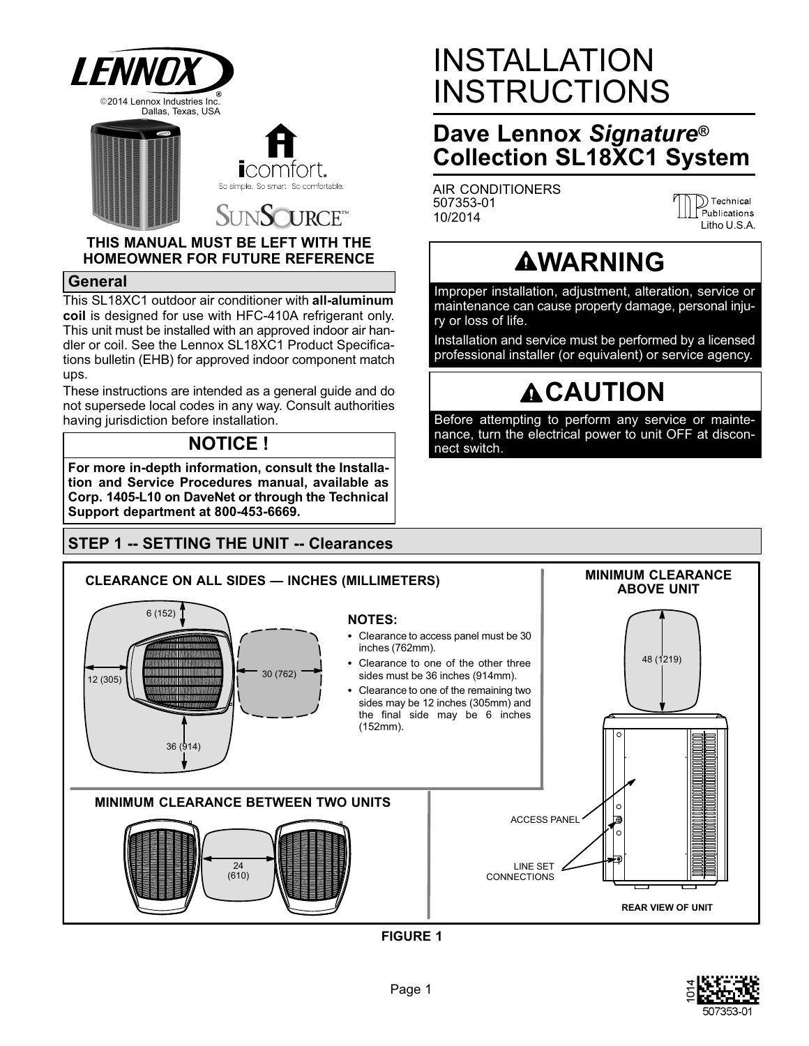

## **URCE**<sup>™</sup> SINS

#### **THIS MANUAL MUST BE LEFT WITH THE HOMEOWNER FOR FUTURE REFERENCE**

#### **General**

This SL18XC1 outdoor air conditioner with **all-aluminum coil** is designed for use with HFC-410A refrigerant only. This unit must be installed with an approved indoor air handler or coil. See the Lennox SL18XC1 Product Specifications bulletin (EHB) for approved indoor component match ups.

These instructions are intended as a general guide and do not supersede local codes in any way. Consult authorities having jurisdiction before installation.

## **NOTICE !**

**For more in-depth information, consult the Installation and Service Procedures manual, available as Corp. 1405-L10 on DaveNet or through the Technical Support department at 800-453-6669.**

## **STEP 1 -- SETTING THE UNIT -- Clearances**

# INSTALLATION INSTRUCTIONS

# **Dave Lennox** *Signature***® Collection SL18XC1 System**

AIR CONDITIONERS 507353-01 10/2014

D) Technical Publications Litho U.S.A.

# **AWARNING**

Improper installation, adjustment, alteration, service or maintenance can cause property damage, personal injury or loss of life.

Installation and service must be performed by a licensed professional installer (or equivalent) or service agency.

# **ACAUTION**

Before attempting to perform any service or maintenance, turn the electrical power to unit OFF at disconnect switch.



**FIGURE 1**

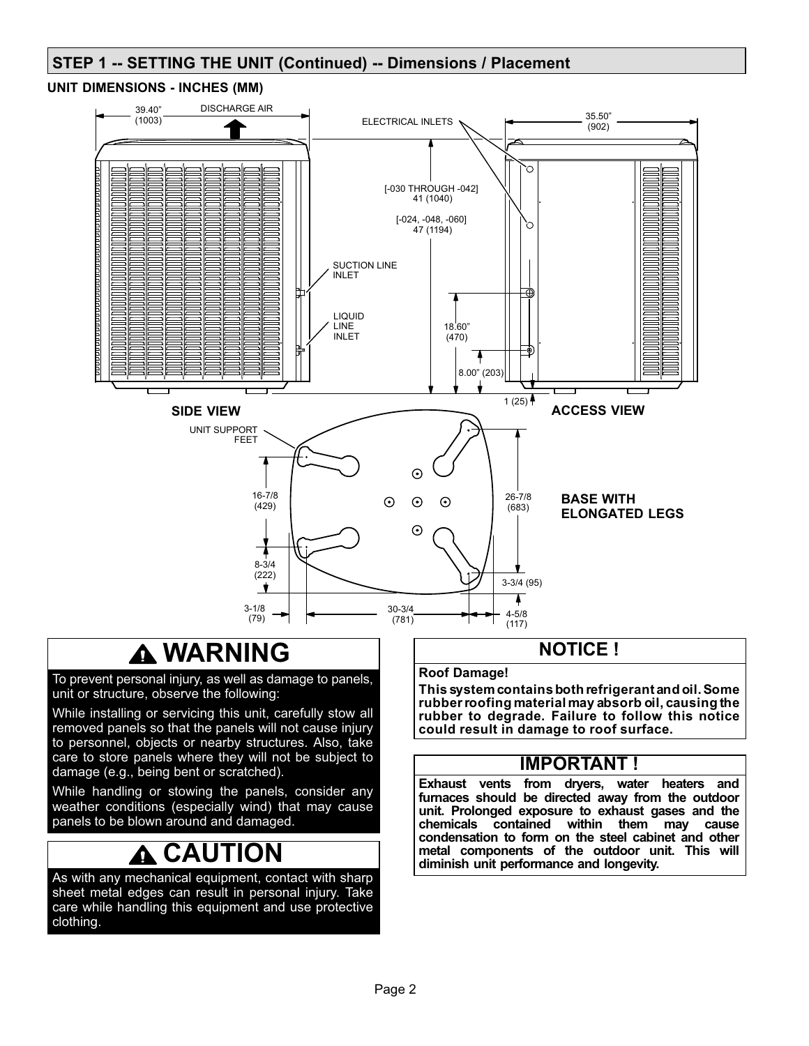## **STEP 1 -- SETTING THE UNIT (Continued) -- Dimensions / Placement**

#### **UNIT DIMENSIONS - INCHES (MM)**



# **WARNING**

To prevent personal injury, as well as damage to panels, unit or structure, observe the following:

While installing or servicing this unit, carefully stow all removed panels so that the panels will not cause injury to personnel, objects or nearby structures. Also, take care to store panels where they will not be subject to damage (e.g., being bent or scratched).

While handling or stowing the panels, consider any weather conditions (especially wind) that may cause panels to be blown around and damaged.

#### **CAUTION** Ω

As with any mechanical equipment, contact with sharp sheet metal edges can result in personal injury. Take care while handling this equipment and use protective clothing.

### **NOTICE !**

#### **Roof Damage!**

**This system contains both refrigerant and oil. Some rubber roofing material may absorb oil, causing the rubber to degrade. Failure to follow this notice could result in damage to roof surface.**

### **IMPORTANT !**

**Exhaust vents from dryers, water heaters and furnaces should be directed away from the outdoor unit. Prolonged exposure to exhaust gases and the chemicals contained within them may cause condensation to form on the steel cabinet and other metal components of the outdoor unit. This will diminish unit performance and longevity.**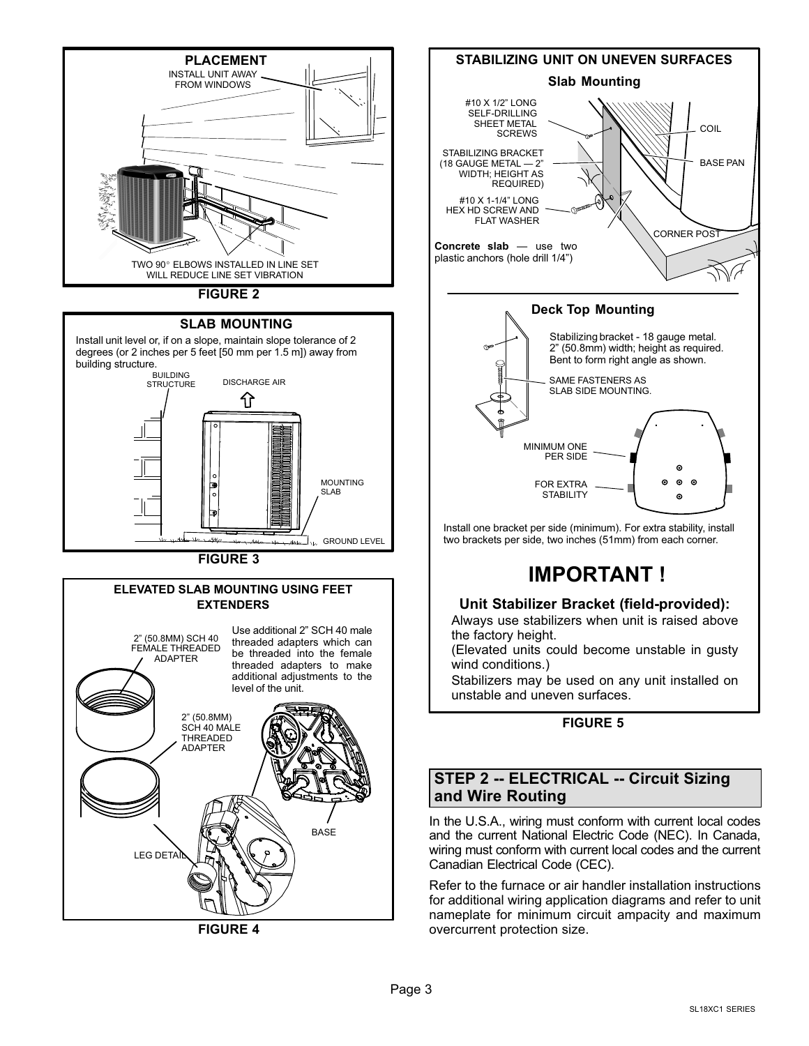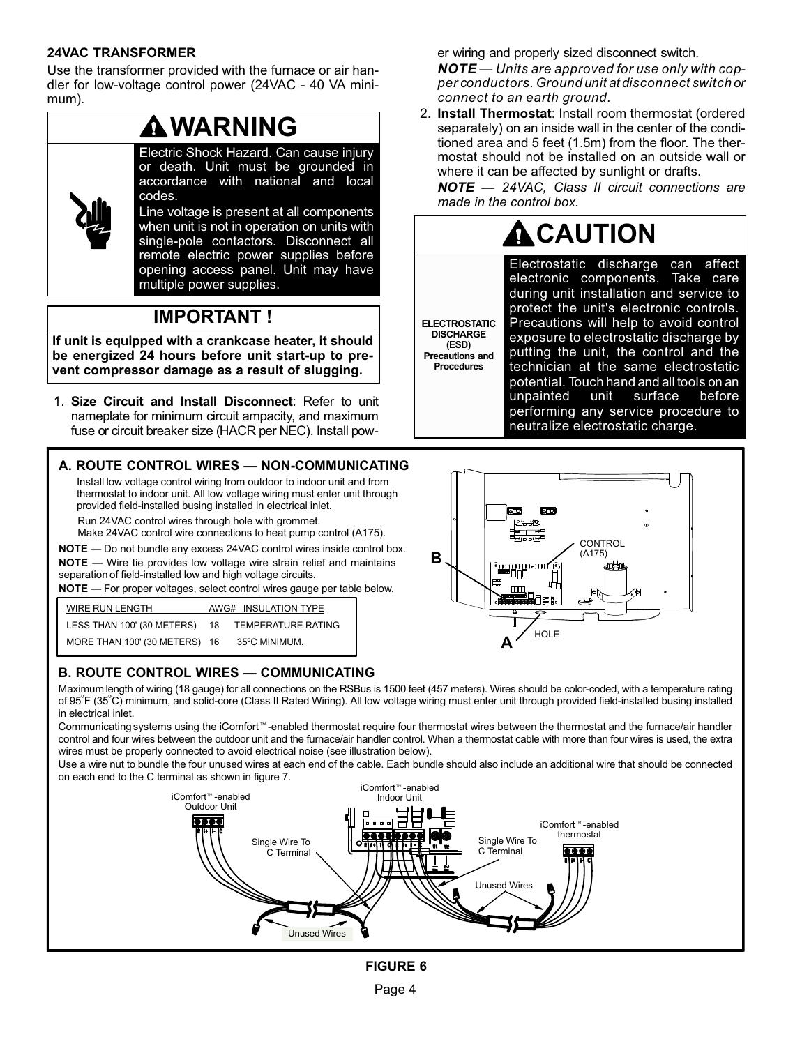#### **24VAC TRANSFORMER**

Use the transformer provided with the furnace or air handler for low‐voltage control power (24VAC - 40 VA minimum).



when unit is not in operation on units with single‐pole contactors. Disconnect all remote electric power supplies before opening access panel. Unit may have multiple power supplies.

## **IMPORTANT !**

**If unit is equipped with a crankcase heater, it should be energized 24 hours before unit start-up to prevent compressor damage as a result of slugging.**

1. **Size Circuit and Install Disconnect**: Refer to unit nameplate for minimum circuit ampacity, and maximum fuse or circuit breaker size (HACR per NEC). Install pow-

#### **A. ROUTE CONTROL WIRES — NON-COMMUNICATING**

Install low voltage control wiring from outdoor to indoor unit and from thermostat to indoor unit. All low voltage wiring must enter unit through provided field-installed busing installed in electrical inlet.

Run 24VAC control wires through hole with grommet.

Make 24VAC control wire connections to heat pump control (A175).

**NOTE** — Wire tie provides low voltage wire strain relief and maintains separation of field-installed low and high voltage circuits*.* **NOTE** — Do not bundle any excess 24VAC control wires inside control box*.*

**NOTE** — For proper voltages, select control wires gauge per table below.

| WIRE RUN LENGTH               |     | AWG# INSULATION TYPE |
|-------------------------------|-----|----------------------|
| LESS THAN 100' (30 METERS)    | -18 | TEMPERATURE RATING   |
| MORE THAN 100' (30 METERS) 16 |     | 35°C MINIMUM.        |

### **B. ROUTE CONTROL WIRES — COMMUNICATING**

Maximum length of wiring (18 gauge) for all connections on the RSBus is 1500 feet (457 meters). Wires should be color-coded, with a temperature rating of 95ºF (35ºC) minimum, and solid-core (Class II Rated Wiring). All low voltage wiring must enter unit through provided field-installed busing installed in electrical inlet.

**DISCHARGE (ESD)**

**Procedures**

Communicating systems using the iComfort<sup>-M</sup>-enabled thermostat require four thermostat wires between the thermostat and the furnace/air handler control and four wires between the outdoor unit and the furnace/air handler control. When a thermostat cable with more than four wires is used, the extra wires must be properly connected to avoid electrical noise (see illustration below).

Use a wire nut to bundle the four unused wires at each end of the cable. Each bundle should also include an additional wire that should be connected on each end to the C terminal as shown in figure [7](#page-4-0).



#### er wiring and properly sized disconnect switch.

*NOTE — Units are approved for use only with copper conductors. Ground unit at disconnect switch or connect to an earth ground.*

2. **Install Thermostat**: Install room thermostat (ordered separately) on an inside wall in the center of the conditioned area and 5 feet (1.5m) from the floor. The thermostat should not be installed on an outside wall or where it can be affected by sunlight or drafts.

*NOTE — 24VAC, Class II circuit connections are made in the control box.*

# **A** CAUTION

**ELECTROSTATIC Precautions and** Electrostatic discharge can affect electronic components. Take care during unit installation and service to protect the unit's electronic controls. Precautions will help to avoid control exposure to electrostatic discharge by putting the unit, the control and the technician at the same electrostatic potential. Touch hand and all tools on an unpainted unit surface before performing any service procedure to neutralize electrostatic charge.

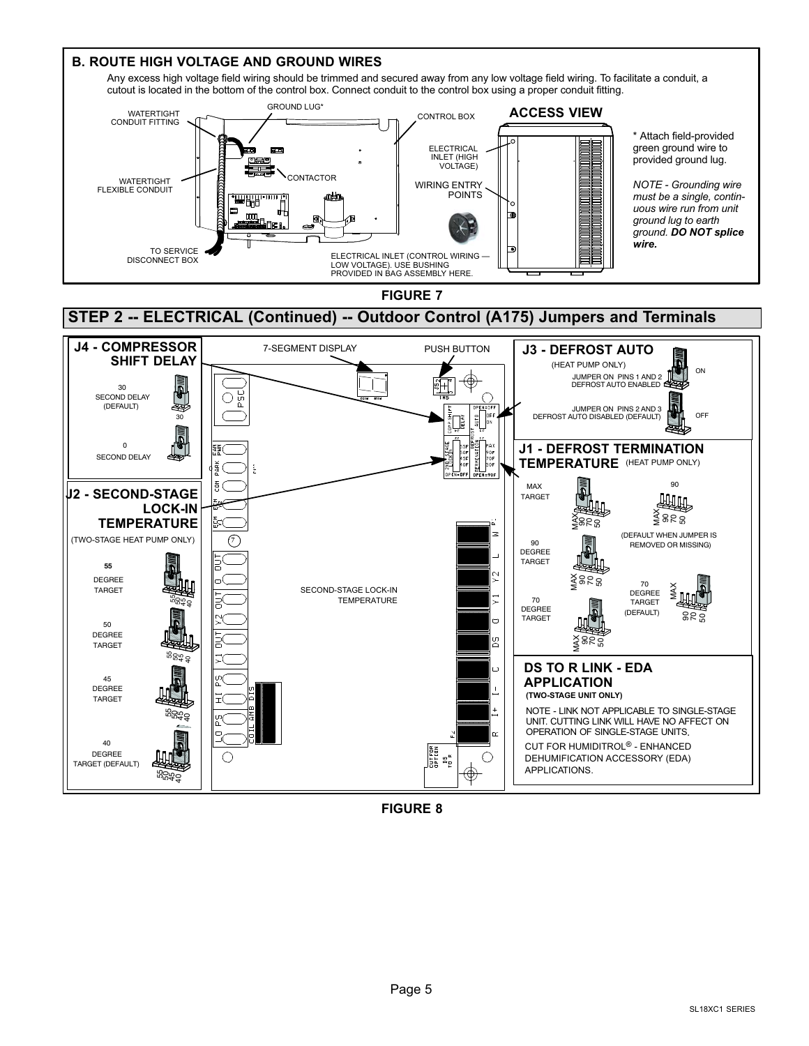<span id="page-4-0"></span>

**FIGURE 8**

Page 5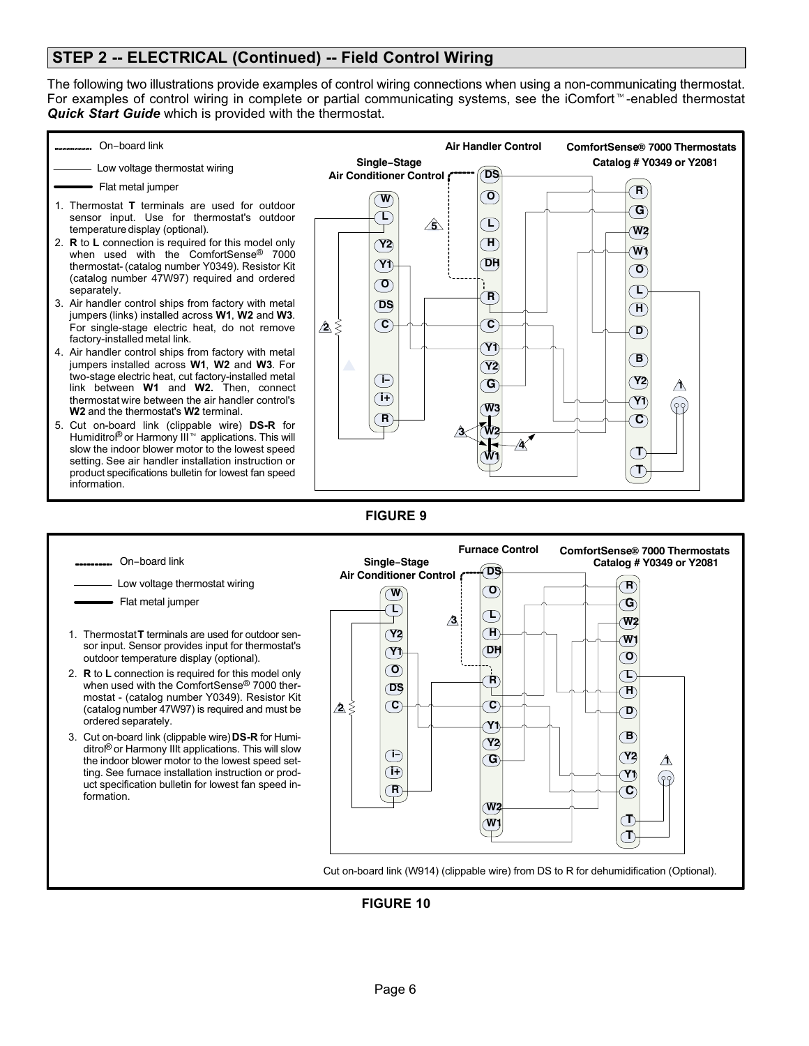### **STEP 2 -- ELECTRICAL (Continued) -- Field Control Wiring**

On−board link

The following two illustrations provide examples of control wiring connections when using a non-communicating thermostat. For examples of control wiring in complete or partial communicating systems, see the iComfort<sup>- $M$ </sup>-enabled thermostat *Quick Start Guide* which is provided with the thermostat.



**Furnace Control ComfortSense**- **7000 Thermostats**

**1**

**Single−Stage Catalog # Y0349 or Y2081**

- **DS Air Conditioner Control** Low voltage thermostat wiring **R O W** Flat metal jumper **G L L 3 W2 H** 1. Thermostat **T** terminals are used for outdoor sen-**Y2 W1** sor input. Sensor provides input for thermostat's **DH Y1 O** outdoor temperature display (optional). **O** 2. **R** to **L** connection is required for this model only  $\mathbf{T}$ **R** when used with the ComfortSense® 7000 ther-**DS H** т mostat - (catalog number Y0349). Resistor Kit **C C** (catalog number 47W97) is required and must be  $\Delta$ **D** ordered separately. **Y1 B** 3. Cut on-board link (clippable wire) **DS-R** for Humi-**Y2** ditrol® or Harmony IIIt applications. This will slow **i− Y2** the indoor blower motor to the lowest speed set-**G i+** ting. See furnace installation instruction or prod-**Y1** (၉၇) uct specification bulletin for lowest fan speed in-**R C** formation. **W T W1 T** Cut on-board link (W914) (clippable wire) from DS to R for dehumidification (Optional).
	- **FIGURE 10**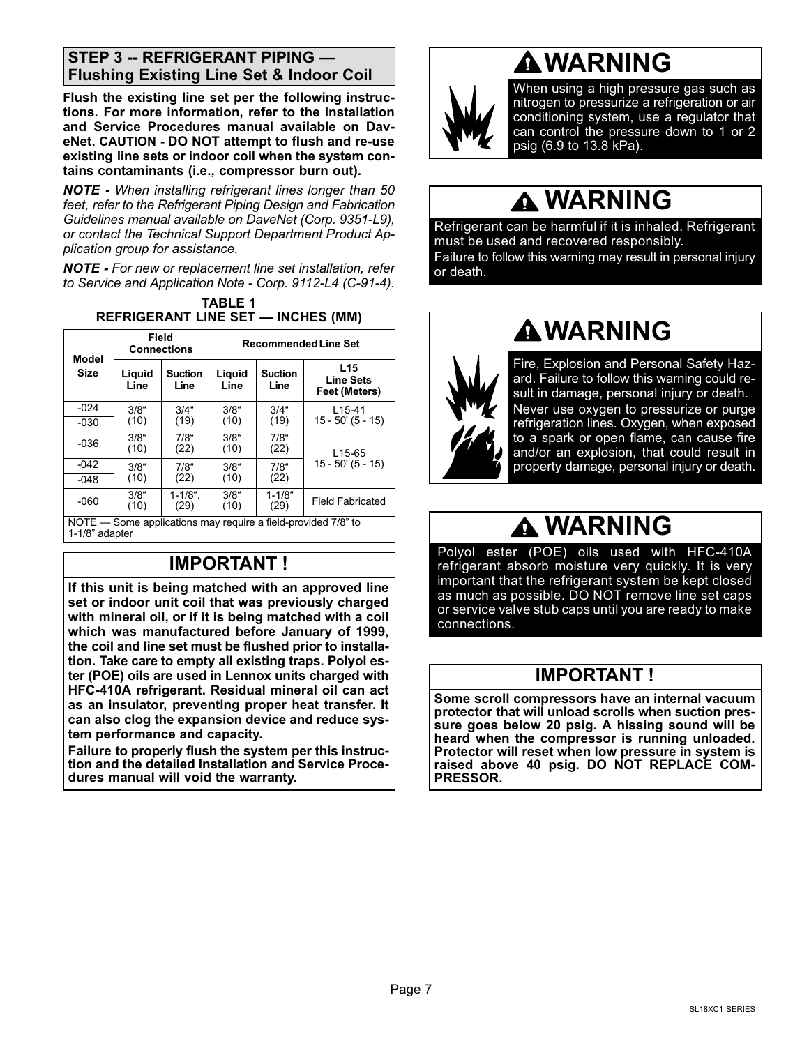### **STEP 3 -- REFRIGERANT PIPING — Flushing Existing Line Set & Indoor Coil**

**Flush the existing line set per the following instructions. For more information, refer to the Installation and Service Procedures manual available on DaveNet. CAUTION - DO NOT attempt to flush and re-use existing line sets or indoor coil when the system contains contaminants (i.e., compressor burn out).**

*NOTE - When installing refrigerant lines longer than 50 feet, refer to the Refrigerant Piping Design and Fabrication Guidelines manual available on DaveNet (Corp. 9351-L9), or contact the Technical Support Department Product Application group for assistance.*

*NOTE - For new or replacement line set installation, refer to Service and Application Note - Corp. 9112-L4 (C-91-4).* **TABLE 1**

|                                                                                              | Field<br><b>Connections</b> |                        | <b>Recommended Line Set</b> |                        |                                                      |  |  |  |
|----------------------------------------------------------------------------------------------|-----------------------------|------------------------|-----------------------------|------------------------|------------------------------------------------------|--|--|--|
| Model<br><b>Size</b>                                                                         | Liguid<br>Line              | <b>Suction</b><br>Line | Liguid<br>Line              | <b>Suction</b><br>Line | L <sub>15</sub><br><b>Line Sets</b><br>Feet (Meters) |  |  |  |
| $-024$                                                                                       | $3/8$ "                     | $3/4$ "                | $3/8$ "                     | $3/4$ "                | L <sub>15</sub> -41                                  |  |  |  |
| $-030$                                                                                       | (10)                        | (19)                   | (10)                        | (19)                   | $15 - 50'$ (5 - 15)                                  |  |  |  |
| $-036$                                                                                       | $3/8$ "<br>(10)             | $7/8$ "<br>(22)        | $3/8$ "<br>(10)             | $7/8$ "<br>(22)        | L <sub>15</sub> -65                                  |  |  |  |
| $-042$                                                                                       | $3/8$ "                     | $7/8$ "                | 3/8"                        | $7/8$ "                | $15 - 50'$ (5 - 15)                                  |  |  |  |
| $-048$                                                                                       | (10)                        | (22)                   | (10)                        | (22)                   |                                                      |  |  |  |
| $-060$                                                                                       | $3/8$ "<br>(10)             | $1 - 1/8$ ".<br>(29)   | 3/8"<br>(10)                | $1 - 1/8$ "<br>(29)    | <b>Field Fabricated</b>                              |  |  |  |
| NOTE – Some applications may require a field-provided 7/8" to<br>$4.410$ <sup>2</sup> $-1-1$ |                             |                        |                             |                        |                                                      |  |  |  |

**REFRIGERANT LINE SET — INCHES (MM)**

1-1/8" adapter

## **IMPORTANT !**

**If this unit is being matched with an approved line set or indoor unit coil that was previously charged with mineral oil, or if it is being matched with a coil which was manufactured before January of 1999, the coil and line set must be flushed prior to installation. Take care to empty all existing traps. Polyol ester (POE) oils are used in Lennox units charged with HFC-410A refrigerant. Residual mineral oil can act as an insulator, preventing proper heat transfer. It can also clog the expansion device and reduce system performance and capacity.**

**Failure to properly flush the system per this instruction and the detailed Installation and Service Procedures manual will void the warranty.**

# **WARNING**



When using a high pressure gas such as nitrogen to pressurize a refrigeration or air conditioning system, use a regulator that can control the pressure down to 1 or 2 psig (6.9 to 13.8 kPa).

# **WARNING**

Refrigerant can be harmful if it is inhaled. Refrigerant must be used and recovered responsibly. Failure to follow this warning may result in personal injury or death.

# **WARNING**



Fire, Explosion and Personal Safety Hazard. Failure to follow this warning could result in damage, personal injury or death. Never use oxygen to pressurize or purge refrigeration lines. Oxygen, when exposed to a spark or open flame, can cause fire and/or an explosion, that could result in property damage, personal injury or death.

# **WARNING**

Polyol ester (POE) oils used with HFC-410A refrigerant absorb moisture very quickly. It is very important that the refrigerant system be kept closed as much as possible. DO NOT remove line set caps or service valve stub caps until you are ready to make connections.

## **IMPORTANT !**

**Some scroll compressors have an internal vacuum protector that will unload scrolls when suction pressure goes below 20 psig. A hissing sound will be heard when the compressor is running unloaded. Protector will reset when low pressure in system is raised above 40 psig. DO NOT REPLACE COM-PRESSOR.**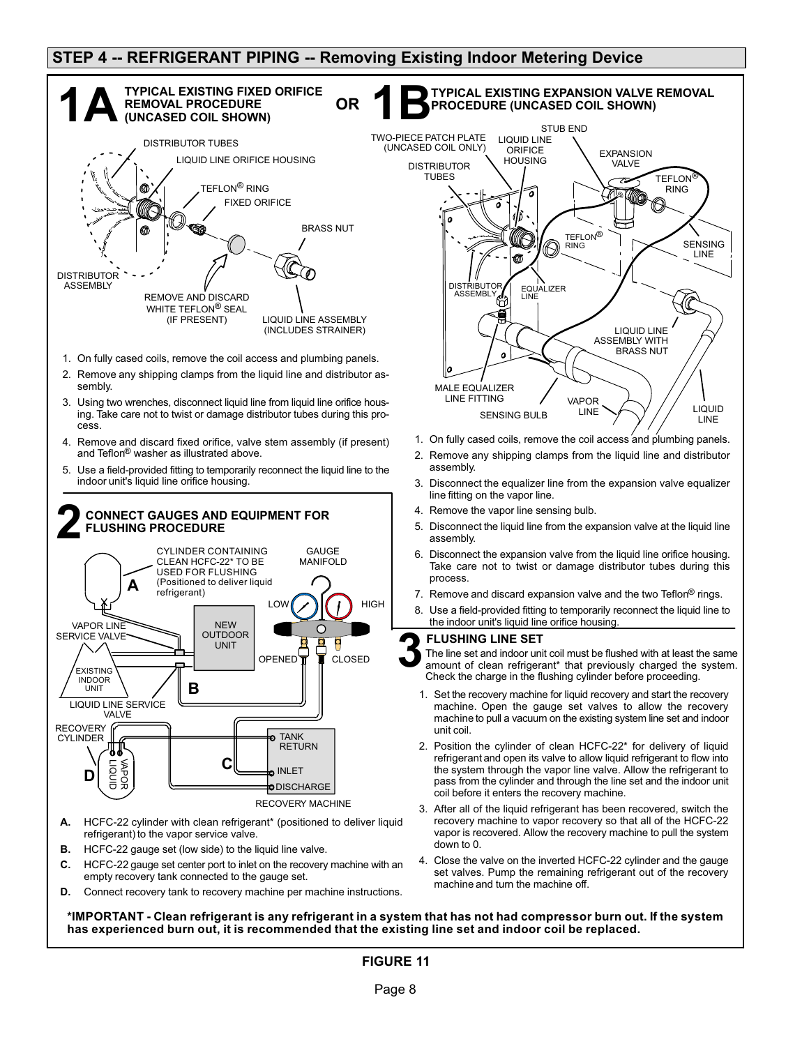### **STEP 4 -- REFRIGERANT PIPING -- Removing Existing Indoor Metering Device**



**\*IMPORTANT - Clean refrigerant is any refrigerant in a system that has not had compressor burn out. If the system has experienced burn out, it is recommended that the existing line set and indoor coil be replaced.**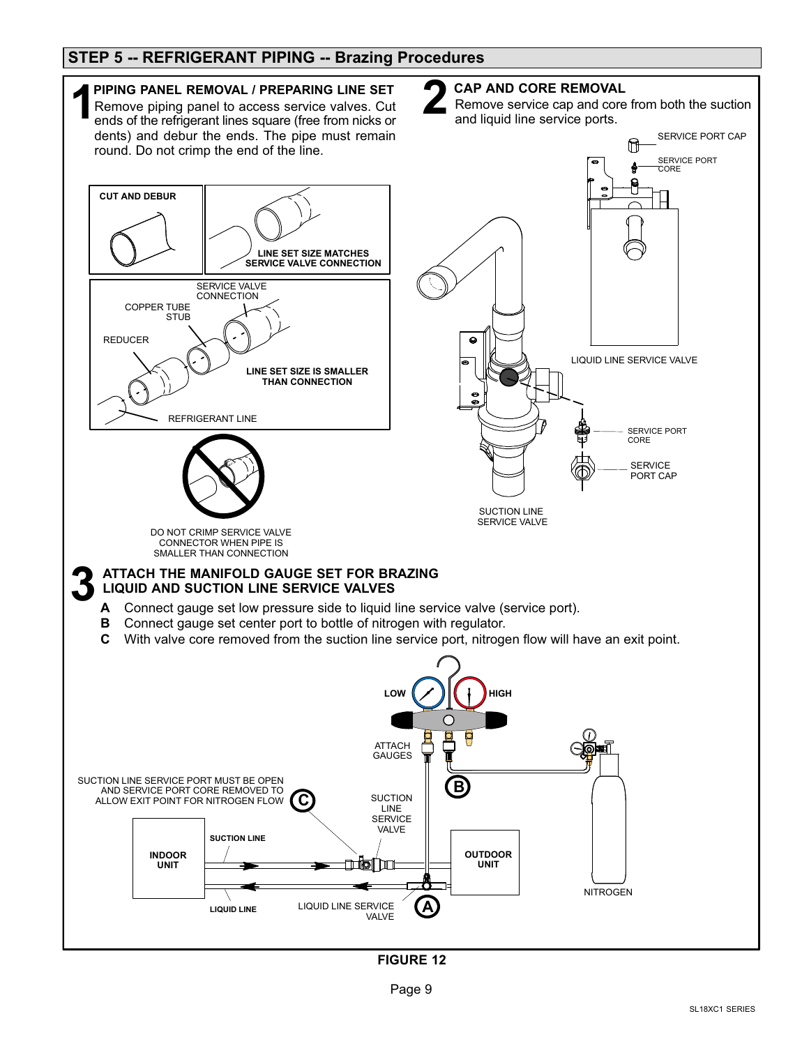### **STEP 5 -- REFRIGERANT PIPING -- Brazing Procedures**



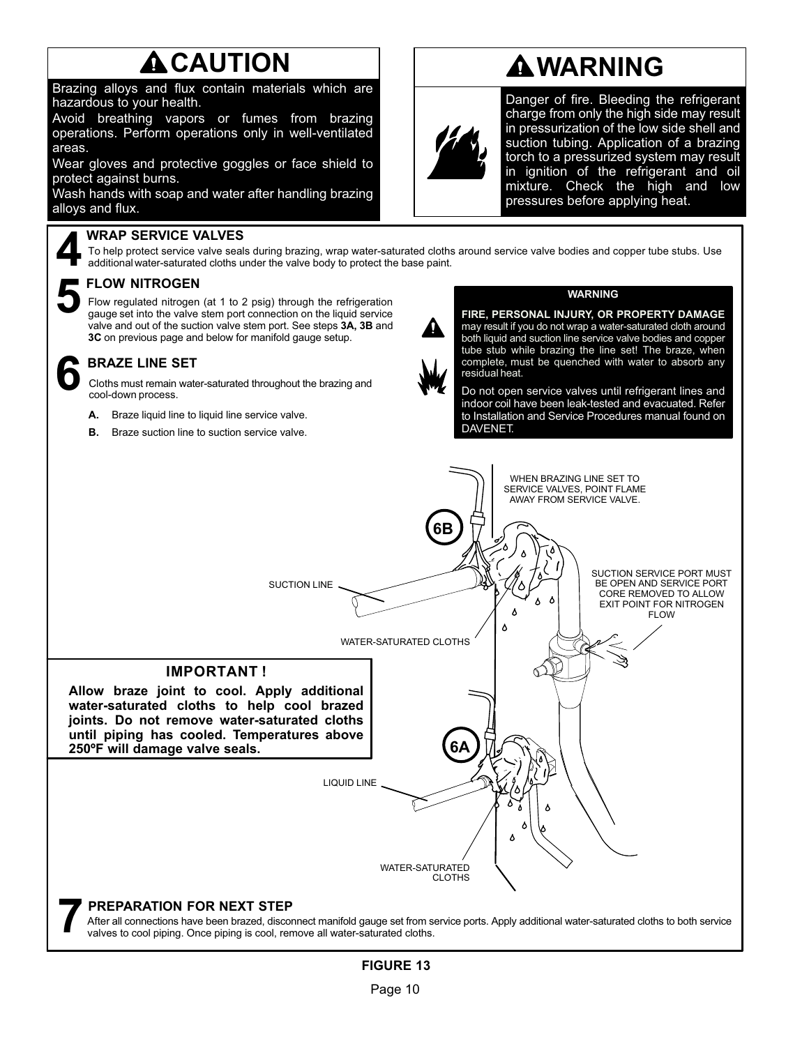# **ACAUTION**

Brazing alloys and flux contain materials which are hazardous to your health.

Avoid breathing vapors or fumes from brazing operations. Perform operations only in well-ventilated areas.

Wear gloves and protective goggles or face shield to protect against burns.

Wash hands with soap and water after handling brazing alloys and flux.

#### **WRAP SERVICE VALVES**

To help protect service valve seals during brazing, wrap water-saturated cloths around service valve bodies and copper tube stubs. Use additional water-saturated cloths under the valve body to protect the base paint.

## **FLOW NITROGEN 5**

Flow regulated nitrogen (at 1 to 2 psig) through the refrigeration gauge set into the valve stem port connection on the liquid service valve and out of the suction valve stem port. See steps **3A, 3B** and **3C** on previous page and below for manifold gauge setup.

#### **BRAZE LINE SET**

Cloths must remain water-saturated throughout the brazing and **6** cool-down process.

- **A.** Braze liquid line to liquid line service valve.
- **B.** Braze suction line to suction service valve.



Danger of fire. Bleeding the refrigerant charge from only the high side may result in pressurization of the low side shell and suction tubing. Application of a brazing torch to a pressurized system may result in ignition of the refrigerant and oil mixture. Check the high and low pressures before applying heat.



#### **WARNING**

**FIRE, PERSONAL INJURY, OR PROPERTY DAMAGE** may result if you do not wrap a water-saturated cloth around both liquid and suction line service valve bodies and copper tube stub while brazing the line set! The braze, when complete, must be quenched with water to absorb any residual heat.

Do not open service valves until refrigerant lines and indoor coil have been leak-tested and evacuated. Refer to Installation and Service Procedures manual found on DAVENET.

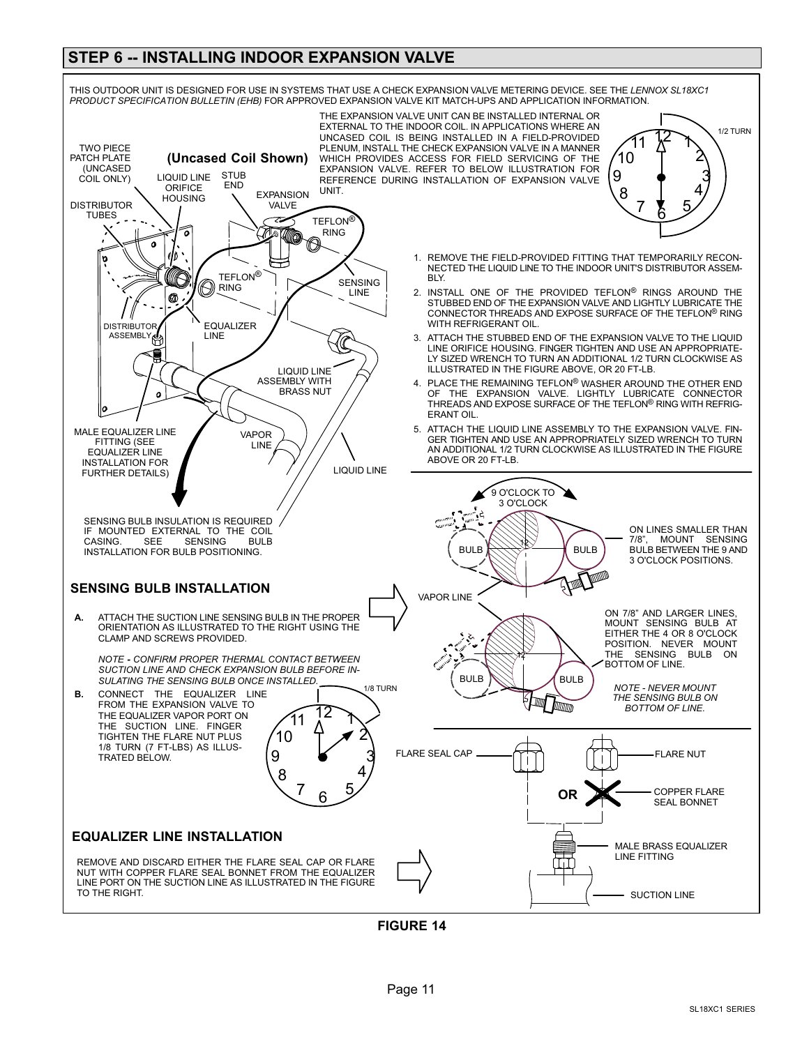### **STEP 6 -- INSTALLING INDOOR EXPANSION VALVE**



**FIGURE 14**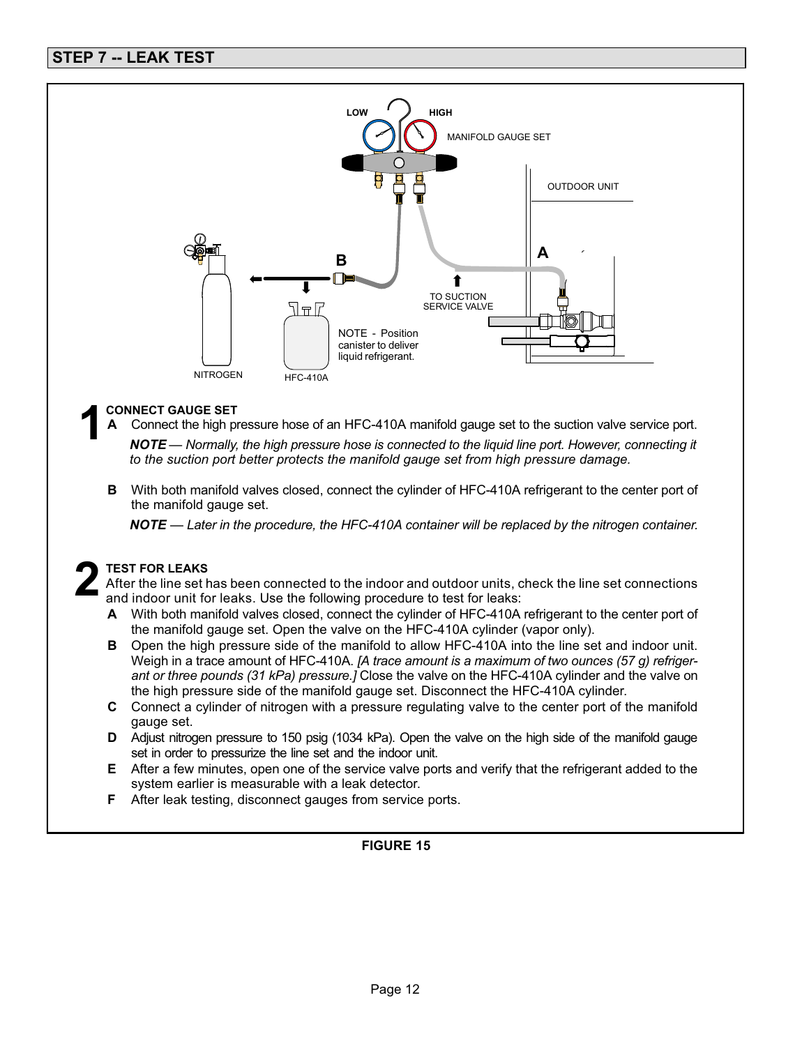

## **CONNECT GAUGE SET 1**

**A** Connect the high pressure hose of an HFC-410A manifold gauge set to the suction valve service port.

*NOTE — Normally, the high pressure hose is connected to the liquid line port. However, connecting it to the suction port better protects the manifold gauge set from high pressure damage.*

**B** With both manifold valves closed, connect the cylinder of HFC-410A refrigerant to the center port of the manifold gauge set.

*NOTE — Later in the procedure, the HFC-410A container will be replaced by the nitrogen container.*

#### **TEST FOR LEAKS**

After the line set has been connected to the indoor and outdoor units, check the line set connections and indoor unit for leaks. Use the following procedure to test for leaks: **2**

- **A** With both manifold valves closed, connect the cylinder of HFC-410A refrigerant to the center port of the manifold gauge set. Open the valve on the HFC-410A cylinder (vapor only).
- **B** Open the high pressure side of the manifold to allow HFC-410A into the line set and indoor unit. Weigh in a trace amount of HFC-410A. *[A trace amount is a maximum of two ounces (57 g) refrigerant or three pounds (31 kPa) pressure.]* Close the valve on the HFC-410A cylinder and the valve on the high pressure side of the manifold gauge set. Disconnect the HFC-410A cylinder.
- **C** Connect a cylinder of nitrogen with a pressure regulating valve to the center port of the manifold gauge set.
- **D** Adjust nitrogen pressure to 150 psig (1034 kPa). Open the valve on the high side of the manifold gauge set in order to pressurize the line set and the indoor unit.
- **E** After a few minutes, open one of the service valve ports and verify that the refrigerant added to the system earlier is measurable with a leak detector.
- **F** After leak testing, disconnect gauges from service ports.

#### **FIGURE 15**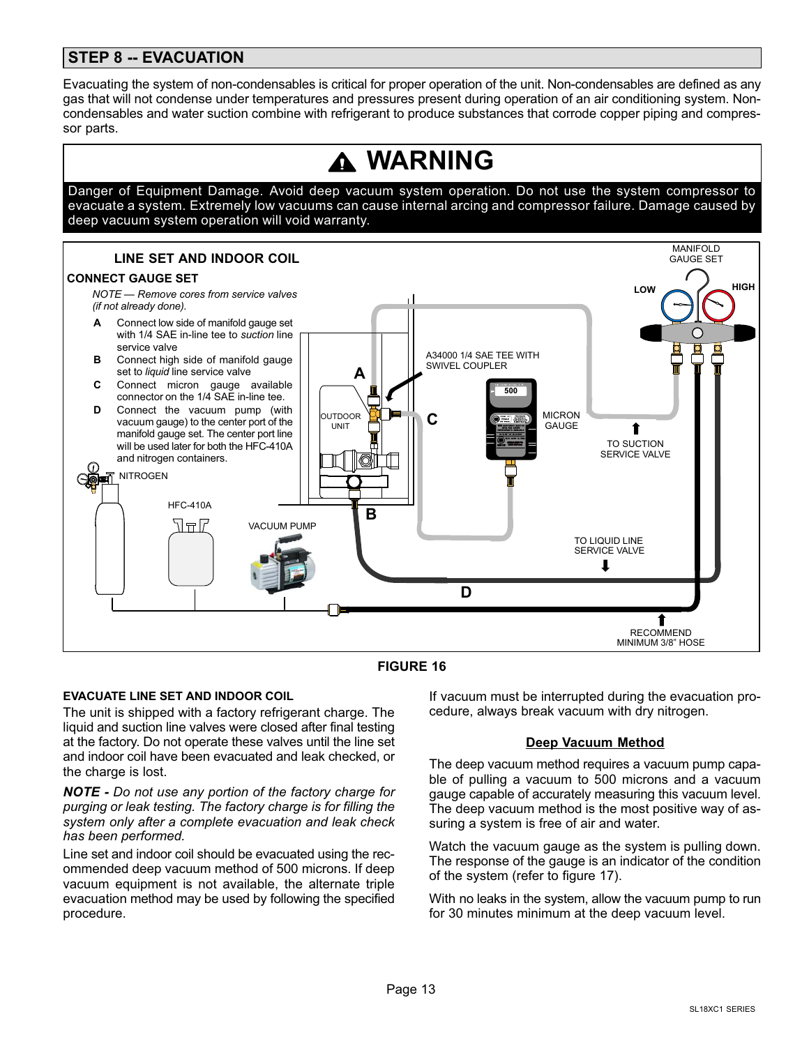## **STEP 8 -- EVACUATION**

Evacuating the system of non-condensables is critical for proper operation of the unit. Non-condensables are defined as any gas that will not condense under temperatures and pressures present during operation of an air conditioning system. Noncondensables and water suction combine with refrigerant to produce substances that corrode copper piping and compressor parts.





#### **EVACUATE LINE SET AND INDOOR COIL**

The unit is shipped with a factory refrigerant charge. The liquid and suction line valves were closed after final testing at the factory. Do not operate these valves until the line set and indoor coil have been evacuated and leak checked, or the charge is lost.

*NOTE - Do not use any portion of the factory charge for purging or leak testing. The factory charge is for filling the system only after a complete evacuation and leak check has been performed.*

Line set and indoor coil should be evacuated using the recommended deep vacuum method of 500 microns. If deep vacuum equipment is not available, the alternate triple evacuation method may be used by following the specified procedure.

If vacuum must be interrupted during the evacuation procedure, always break vacuum with dry nitrogen.

#### **Deep Vacuum Method**

The deep vacuum method requires a vacuum pump capable of pulling a vacuum to 500 microns and a vacuum gauge capable of accurately measuring this vacuum level. The deep vacuum method is the most positive way of assuring a system is free of air and water.

Watch the vacuum gauge as the system is pulling down. The response of the gauge is an indicator of the condition of the system (refer to figure [17\)](#page-13-0).

With no leaks in the system, allow the vacuum pump to run for 30 minutes minimum at the deep vacuum level.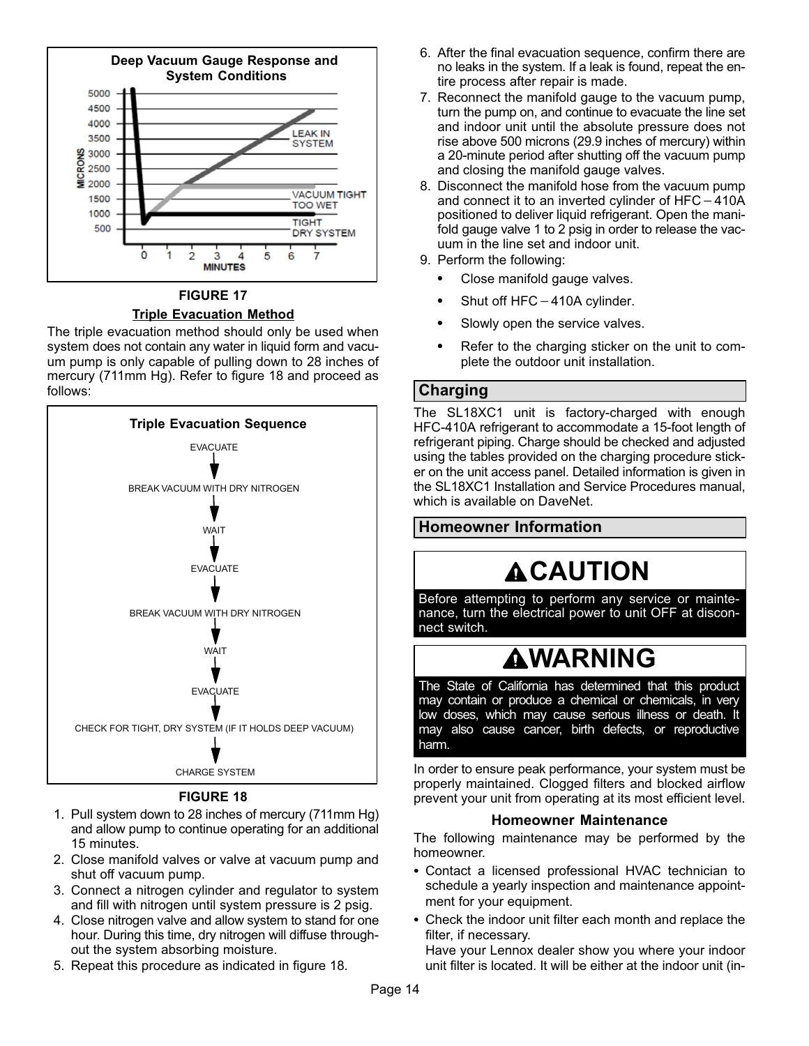<span id="page-13-0"></span>

### **FIGURE 17 Triple Evacuation Method**

The triple evacuation method should only be used when system does not contain any water in liquid form and vacuum pump is only capable of pulling down to 28 inches of mercury (711mm Hg). Refer to figure 18 and proceed as follows:



**FIGURE 18**

- 1. Pull system down to 28 inches of mercury (711mm Hg) and allow pump to continue operating for an additional 15 minutes.
- 2. Close manifold valves or valve at vacuum pump and shut off vacuum pump.
- 3. Connect a nitrogen cylinder and regulator to system and fill with nitrogen until system pressure is 2 psig.
- 4. Close nitrogen valve and allow system to stand for one hour. During this time, dry nitrogen will diffuse throughout the system absorbing moisture.
- 5. Repeat this procedure as indicated in figure 18.
- 6. After the final evacuation sequence, confirm there are no leaks in the system. If a leak is found, repeat the entire process after repair is made.
- 7. Reconnect the manifold gauge to the vacuum pump, turn the pump on, and continue to evacuate the line set and indoor unit until the absolute pressure does not rise above 500 microns (29.9 inches of mercury) within a 20-minute period after shutting off the vacuum pump and closing the manifold gauge valves. rise above 500 microns (29.9 inches of mercury)<br>a 20-minute period after shutting off the vacuum<br>and closing the manifold gauge valves.<br>Disconnect the manifold hose from the vacuum<br>and connect it to an inverted cylinder of
- 8. Disconnect the manifold hose from the vacuum pump and connect it to an inverted cylinder of  $HFC-410A$ positioned to deliver liquid refrigerant. Open the manifold gauge valve 1 to 2 psig in order to release the vacuum in the line set and indoor unit. Shut of the line set a<br>Perform the followin<br>Close manifold<br>Shut off HFC-
- 9. Perform the following:
	- $\bullet$ Close manifold gauge valves.
	- $\bullet$ Shut off  $HFC - 410A$  cylinder.
	- $\bullet$ Slowly open the service valves.
	- $\bullet$  Refer to the charging sticker on the unit to complete the outdoor unit installation.

### **Charging**

The SL18XC1 unit is factory-charged with enough HFC-410A refrigerant to accommodate a 15-foot length of refrigerant piping. Charge should be checked and adjusted using the tables provided on the charging procedure sticker on the unit access panel. Detailed information is given in the SL18XC1 Installation and Service Procedures manual, which is available on DaveNet.

## **Homeowner Information**

# **ACAUTION**

Before attempting to perform any service or maintenance, turn the electrical power to unit OFF at disconnect switch.

# **WARNING**

The State of California has determined that this product may contain or produce a chemical or chemicals, in very low doses, which may cause serious illness or death. It may also cause cancer, birth defects, or reproductive harm.

In order to ensure peak performance, your system must be properly maintained. Clogged filters and blocked airflow prevent your unit from operating at its most efficient level.

### **Homeowner Maintenance**

The following maintenance may be performed by the homeowner.

- Contact a licensed professional HVAC technician to schedule a yearly inspection and maintenance appointment for your equipment.
- Check the indoor unit filter each month and replace the filter, if necessary.

Have your Lennox dealer show you where your indoor unit filter is located. It will be either at the indoor unit (in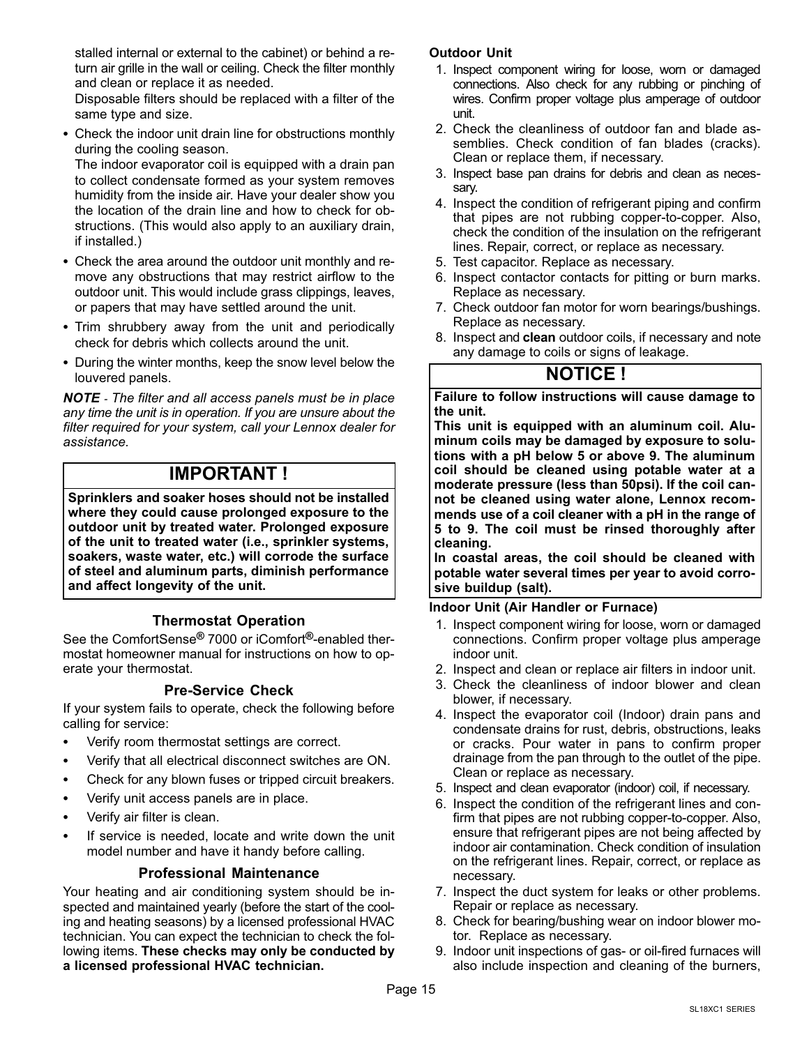stalled internal or external to the cabinet) or behind a return air grille in the wall or ceiling. Check the filter monthly and clean or replace it as needed.

Disposable filters should be replaced with a filter of the same type and size.

 Check the indoor unit drain line for obstructions monthly during the cooling season.

The indoor evaporator coil is equipped with a drain pan to collect condensate formed as your system removes humidity from the inside air. Have your dealer show you the location of the drain line and how to check for obstructions. (This would also apply to an auxiliary drain, if installed.)

- Check the area around the outdoor unit monthly and remove any obstructions that may restrict airflow to the outdoor unit. This would include grass clippings, leaves, or papers that may have settled around the unit.
- Trim shrubbery away from the unit and periodically check for debris which collects around the unit.
- During the winter months, keep the snow level below the louvered panels.

*NOTE - The filter and all access panels must be in place any time the unit is in operation. If you are unsure about the filter required for your system, call your Lennox dealer for assistance.*

## **IMPORTANT !**

**Sprinklers and soaker hoses should not be installed where they could cause prolonged exposure to the outdoor unit by treated water. Prolonged exposure of the unit to treated water (i.e., sprinkler systems, soakers, waste water, etc.) will corrode the surface of steel and aluminum parts, diminish performance and affect longevity of the unit.**

#### **Thermostat Operation**

See the ComfortSense**®** 7000 or iComfort**®**-enabled thermostat homeowner manual for instructions on how to operate your thermostat.

#### **Pre-Service Check**

If your system fails to operate, check the following before calling for service:

- . Verify room thermostat settings are correct.
- . Verify that all electrical disconnect switches are ON.
- . Check for any blown fuses or tripped circuit breakers.
- . Verify unit access panels are in place.
- . Verify air filter is clean.
- . If service is needed, locate and write down the unit model number and have it handy before calling.

#### **Professional Maintenance**

Your heating and air conditioning system should be inspected and maintained yearly (before the start of the cooling and heating seasons) by a licensed professional HVAC technician. You can expect the technician to check the following items. **These checks may only be conducted by a licensed professional HVAC technician.**

#### **Outdoor Unit**

- 1. Inspect component wiring for loose, worn or damaged connections. Also check for any rubbing or pinching of wires. Confirm proper voltage plus amperage of outdoor unit.
- 2. Check the cleanliness of outdoor fan and blade assemblies. Check condition of fan blades (cracks). Clean or replace them, if necessary.
- 3. Inspect base pan drains for debris and clean as necessary.
- 4. Inspect the condition of refrigerant piping and confirm that pipes are not rubbing copper-to-copper. Also, check the condition of the insulation on the refrigerant lines. Repair, correct, or replace as necessary.
- 5. Test capacitor. Replace as necessary.
- 6. Inspect contactor contacts for pitting or burn marks. Replace as necessary.
- 7. Check outdoor fan motor for worn bearings/bushings. Replace as necessary.
- 8. Inspect and **clean** outdoor coils, if necessary and note any damage to coils or signs of leakage.

## **NOTICE !**

**Failure to follow instructions will cause damage to the unit.** 

**This unit is equipped with an aluminum coil. Aluminum coils may be damaged by exposure to solutions with a pH below 5 or above 9. The aluminum coil should be cleaned using potable water at a moderate pressure (less than 50psi). If the coil cannot be cleaned using water alone, Lennox recommends use of a coil cleaner with a pH in the range of 5 to 9. The coil must be rinsed thoroughly after cleaning.** 

**In coastal areas, the coil should be cleaned with potable water several times per year to avoid corrosive buildup (salt).**

**Indoor Unit (Air Handler or Furnace)**

- 1. Inspect component wiring for loose, worn or damaged connections. Confirm proper voltage plus amperage indoor unit.
- 2. Inspect and clean or replace air filters in indoor unit.
- 3. Check the cleanliness of indoor blower and clean blower, if necessary.
- 4. Inspect the evaporator coil (Indoor) drain pans and condensate drains for rust, debris, obstructions, leaks or cracks. Pour water in pans to confirm proper drainage from the pan through to the outlet of the pipe. Clean or replace as necessary.
- 5. Inspect and clean evaporator (indoor) coil, if necessary.
- 6. Inspect the condition of the refrigerant lines and confirm that pipes are not rubbing copper-to-copper. Also, ensure that refrigerant pipes are not being affected by indoor air contamination. Check condition of insulation on the refrigerant lines. Repair, correct, or replace as necessary.
- 7. Inspect the duct system for leaks or other problems. Repair or replace as necessary.
- 8. Check for bearing/bushing wear on indoor blower motor. Replace as necessary.
- 9. Indoor unit inspections of gas- or oil-fired furnaces will also include inspection and cleaning of the burners,